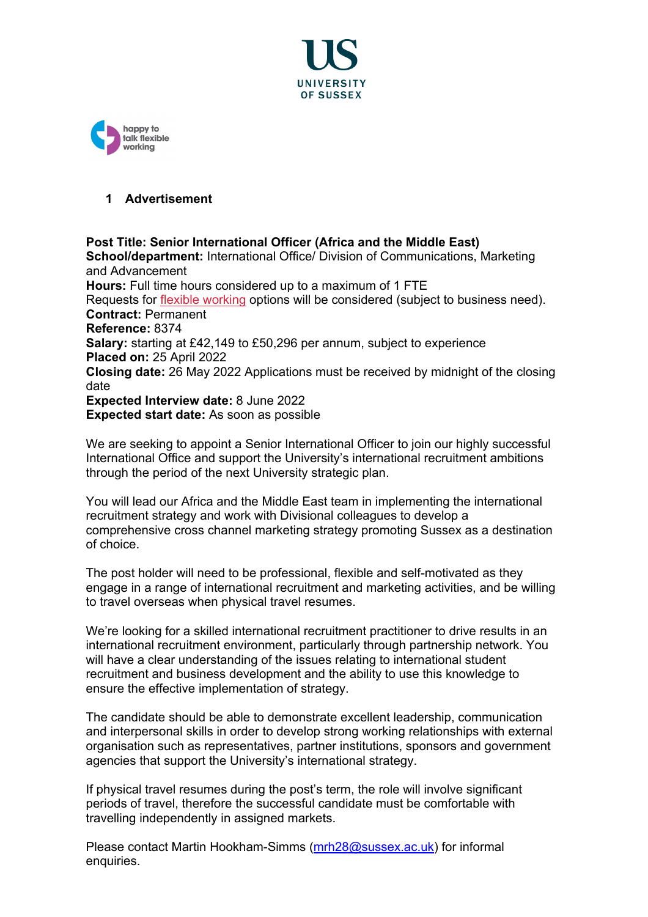



## **1 Advertisement**

**Post Title: Senior International Officer (Africa and the Middle East) School/department:** International Office/ Division of Communications, Marketing and Advancement **Hours:** Full time hours considered up to a maximum of 1 FTE Requests for [flexible working](http://www.sussex.ac.uk/humanresources/personnel/flexible-working) options will be considered (subject to business need). **Contract:** Permanent **Reference:** 8374 **Salary:** starting at £42,149 to £50,296 per annum, subject to experience **Placed on:** 25 April 2022 **Closing date:** 26 May 2022 Applications must be received by midnight of the closing date **Expected Interview date:** 8 June 2022 **Expected start date:** As soon as possible

We are seeking to appoint a Senior International Officer to join our highly successful International Office and support the University's international recruitment ambitions through the period of the next University strategic plan.

You will lead our Africa and the Middle East team in implementing the international recruitment strategy and work with Divisional colleagues to develop a comprehensive cross channel marketing strategy promoting Sussex as a destination of choice.

The post holder will need to be professional, flexible and self-motivated as they engage in a range of international recruitment and marketing activities, and be willing to travel overseas when physical travel resumes.

We're looking for a skilled international recruitment practitioner to drive results in an international recruitment environment, particularly through partnership network. You will have a clear understanding of the issues relating to international student recruitment and business development and the ability to use this knowledge to ensure the effective implementation of strategy.

The candidate should be able to demonstrate excellent leadership, communication and interpersonal skills in order to develop strong working relationships with external organisation such as representatives, partner institutions, sponsors and government agencies that support the University's international strategy.

If physical travel resumes during the post's term, the role will involve significant periods of travel, therefore the successful candidate must be comfortable with travelling independently in assigned markets.

Please contact Martin Hookham-Simms [\(mrh28@sussex.ac.uk\)](mailto:mrh28@sussex.ac.uk) for informal enquiries.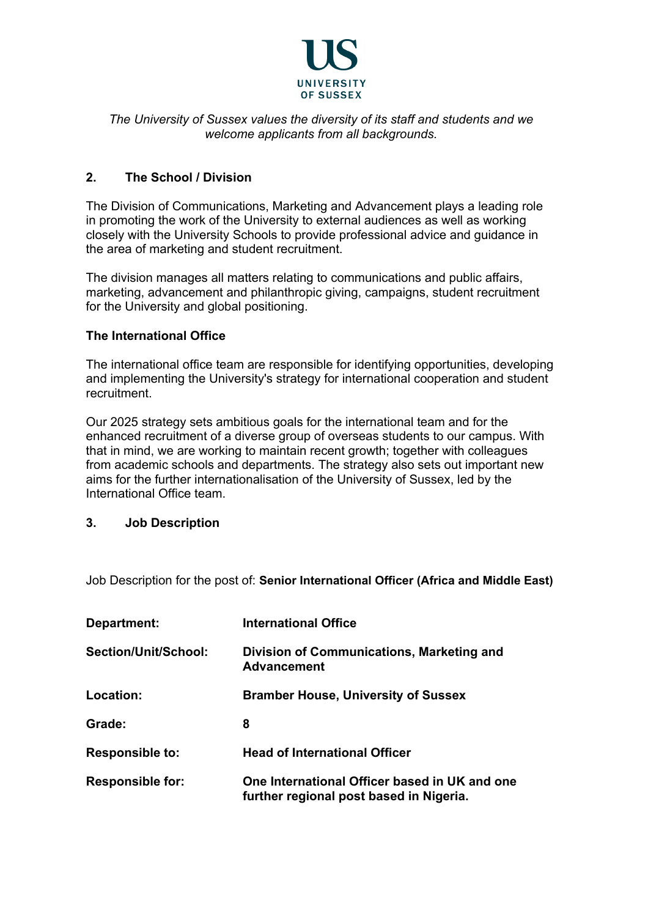

# *The University of Sussex values the diversity of its staff and students and we welcome applicants from all backgrounds.*

# **2. The School / Division**

The Division of Communications, Marketing and Advancement plays a leading role in promoting the work of the University to external audiences as well as working closely with the University Schools to provide professional advice and guidance in the area of marketing and student recruitment.

The division manages all matters relating to communications and public affairs, marketing, advancement and philanthropic giving, campaigns, student recruitment for the University and global positioning.

# **The International Office**

The international office team are responsible for identifying opportunities, developing and implementing the University's strategy for international cooperation and student recruitment.

Our 2025 strategy sets ambitious goals for the international team and for the enhanced recruitment of a diverse group of overseas students to our campus. With that in mind, we are working to maintain recent growth; together with colleagues from academic schools and departments. The strategy also sets out important new aims for the further internationalisation of the University of Sussex, led by the International Office team.

# **3. Job Description**

Job Description for the post of: **Senior International Officer (Africa and Middle East)**

| Department:             | <b>International Office</b>                                                              |
|-------------------------|------------------------------------------------------------------------------------------|
| Section/Unit/School:    | Division of Communications, Marketing and<br><b>Advancement</b>                          |
| Location:               | <b>Bramber House, University of Sussex</b>                                               |
| Grade:                  | 8                                                                                        |
| <b>Responsible to:</b>  | <b>Head of International Officer</b>                                                     |
| <b>Responsible for:</b> | One International Officer based in UK and one<br>further regional post based in Nigeria. |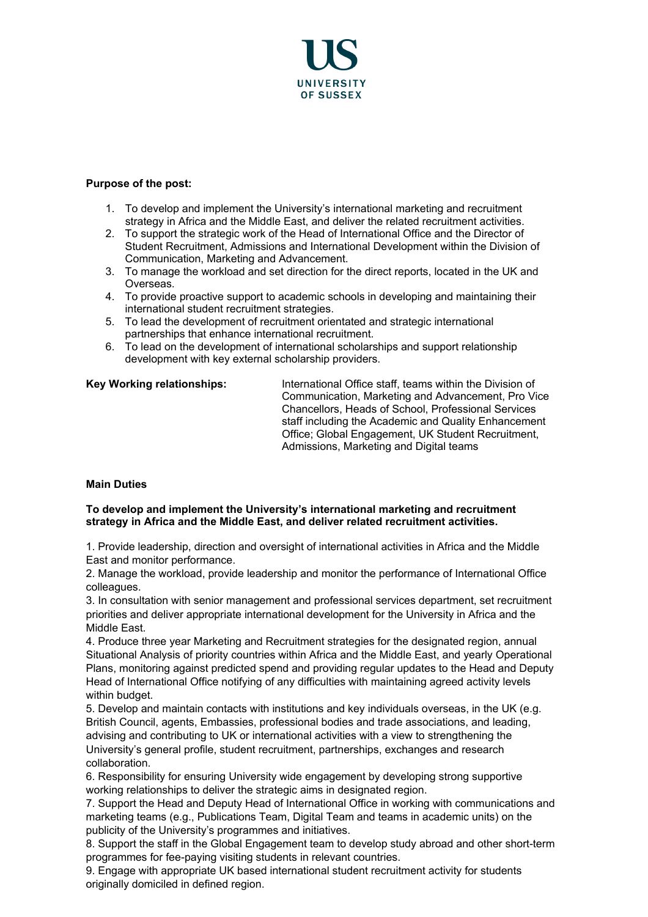

### **Purpose of the post:**

- 1. To develop and implement the University's international marketing and recruitment strategy in Africa and the Middle East, and deliver the related recruitment activities.
- 2. To support the strategic work of the Head of International Office and the Director of Student Recruitment, Admissions and International Development within the Division of Communication, Marketing and Advancement.
- 3. To manage the workload and set direction for the direct reports, located in the UK and Overseas.
- 4. To provide proactive support to academic schools in developing and maintaining their international student recruitment strategies.
- 5. To lead the development of recruitment orientated and strategic international partnerships that enhance international recruitment.
- 6. To lead on the development of international scholarships and support relationship development with key external scholarship providers.

**Key Working relationships:** International Office staff, teams within the Division of Communication, Marketing and Advancement, Pro Vice Chancellors, Heads of School, Professional Services staff including the Academic and Quality Enhancement Office; Global Engagement, UK Student Recruitment, Admissions, Marketing and Digital teams

### **Main Duties**

#### **To develop and implement the University's international marketing and recruitment strategy in Africa and the Middle East, and deliver related recruitment activities.**

1. Provide leadership, direction and oversight of international activities in Africa and the Middle East and monitor performance.

2. Manage the workload, provide leadership and monitor the performance of International Office colleagues.

3. In consultation with senior management and professional services department, set recruitment priorities and deliver appropriate international development for the University in Africa and the Middle East.

4. Produce three year Marketing and Recruitment strategies for the designated region, annual Situational Analysis of priority countries within Africa and the Middle East, and yearly Operational Plans, monitoring against predicted spend and providing regular updates to the Head and Deputy Head of International Office notifying of any difficulties with maintaining agreed activity levels within budget.

5. Develop and maintain contacts with institutions and key individuals overseas, in the UK (e.g. British Council, agents, Embassies, professional bodies and trade associations, and leading, advising and contributing to UK or international activities with a view to strengthening the University's general profile, student recruitment, partnerships, exchanges and research collaboration.

6. Responsibility for ensuring University wide engagement by developing strong supportive working relationships to deliver the strategic aims in designated region.

7. Support the Head and Deputy Head of International Office in working with communications and marketing teams (e.g., Publications Team, Digital Team and teams in academic units) on the publicity of the University's programmes and initiatives.

8. Support the staff in the Global Engagement team to develop study abroad and other short-term programmes for fee-paying visiting students in relevant countries.

9. Engage with appropriate UK based international student recruitment activity for students originally domiciled in defined region.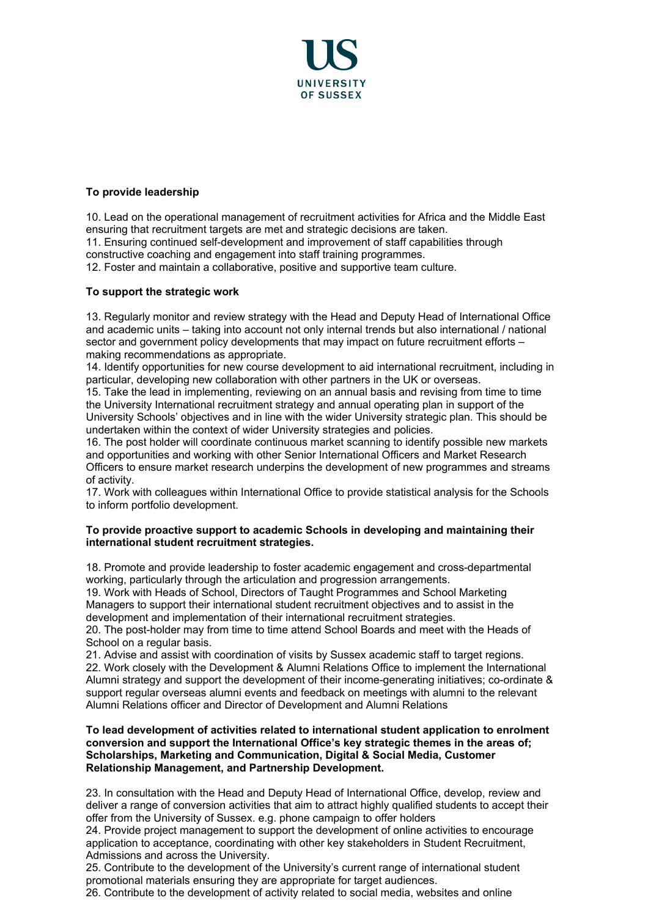

## **To provide leadership**

10. Lead on the operational management of recruitment activities for Africa and the Middle East ensuring that recruitment targets are met and strategic decisions are taken.

11. Ensuring continued self-development and improvement of staff capabilities through constructive coaching and engagement into staff training programmes.

12. Foster and maintain a collaborative, positive and supportive team culture.

## **To support the strategic work**

13. Regularly monitor and review strategy with the Head and Deputy Head of International Office and academic units – taking into account not only internal trends but also international / national sector and government policy developments that may impact on future recruitment efforts – making recommendations as appropriate.

14. Identify opportunities for new course development to aid international recruitment, including in particular, developing new collaboration with other partners in the UK or overseas.

15. Take the lead in implementing, reviewing on an annual basis and revising from time to time the University International recruitment strategy and annual operating plan in support of the University Schools' objectives and in line with the wider University strategic plan. This should be undertaken within the context of wider University strategies and policies.

16. The post holder will coordinate continuous market scanning to identify possible new markets and opportunities and working with other Senior International Officers and Market Research Officers to ensure market research underpins the development of new programmes and streams of activity.

17. Work with colleagues within International Office to provide statistical analysis for the Schools to inform portfolio development.

### **To provide proactive support to academic Schools in developing and maintaining their international student recruitment strategies.**

18. Promote and provide leadership to foster academic engagement and cross-departmental working, particularly through the articulation and progression arrangements.

19. Work with Heads of School, Directors of Taught Programmes and School Marketing Managers to support their international student recruitment objectives and to assist in the development and implementation of their international recruitment strategies.

20. The post-holder may from time to time attend School Boards and meet with the Heads of School on a regular basis.

21. Advise and assist with coordination of visits by Sussex academic staff to target regions. 22. Work closely with the Development & Alumni Relations Office to implement the International Alumni strategy and support the development of their income-generating initiatives; co-ordinate & support regular overseas alumni events and feedback on meetings with alumni to the relevant Alumni Relations officer and Director of Development and Alumni Relations

#### **To lead development of activities related to international student application to enrolment conversion and support the International Office's key strategic themes in the areas of; Scholarships, Marketing and Communication, Digital & Social Media, Customer Relationship Management, and Partnership Development.**

23. In consultation with the Head and Deputy Head of International Office, develop, review and deliver a range of conversion activities that aim to attract highly qualified students to accept their offer from the University of Sussex. e.g. phone campaign to offer holders

24. Provide project management to support the development of online activities to encourage application to acceptance, coordinating with other key stakeholders in Student Recruitment, Admissions and across the University.

25. Contribute to the development of the University's current range of international student promotional materials ensuring they are appropriate for target audiences.

26. Contribute to the development of activity related to social media, websites and online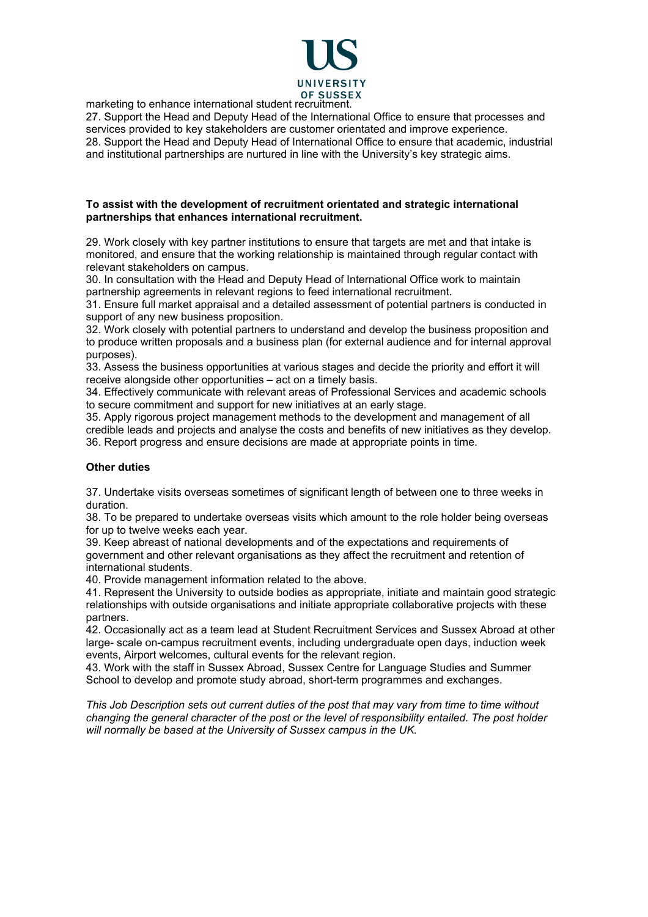

marketing to enhance international student recruitment.

27. Support the Head and Deputy Head of the International Office to ensure that processes and services provided to key stakeholders are customer orientated and improve experience. 28. Support the Head and Deputy Head of International Office to ensure that academic, industrial and institutional partnerships are nurtured in line with the University's key strategic aims.

#### **To assist with the development of recruitment orientated and strategic international partnerships that enhances international recruitment.**

29. Work closely with key partner institutions to ensure that targets are met and that intake is monitored, and ensure that the working relationship is maintained through regular contact with relevant stakeholders on campus.

30. In consultation with the Head and Deputy Head of International Office work to maintain partnership agreements in relevant regions to feed international recruitment.

31. Ensure full market appraisal and a detailed assessment of potential partners is conducted in support of any new business proposition.

32. Work closely with potential partners to understand and develop the business proposition and to produce written proposals and a business plan (for external audience and for internal approval purposes).

33. Assess the business opportunities at various stages and decide the priority and effort it will receive alongside other opportunities – act on a timely basis.

34. Effectively communicate with relevant areas of Professional Services and academic schools to secure commitment and support for new initiatives at an early stage.

35. Apply rigorous project management methods to the development and management of all credible leads and projects and analyse the costs and benefits of new initiatives as they develop. 36. Report progress and ensure decisions are made at appropriate points in time.

### **Other duties**

37. Undertake visits overseas sometimes of significant length of between one to three weeks in duration.

38. To be prepared to undertake overseas visits which amount to the role holder being overseas for up to twelve weeks each year.

39. Keep abreast of national developments and of the expectations and requirements of government and other relevant organisations as they affect the recruitment and retention of international students.

40. Provide management information related to the above.

41. Represent the University to outside bodies as appropriate, initiate and maintain good strategic relationships with outside organisations and initiate appropriate collaborative projects with these partners.

42. Occasionally act as a team lead at Student Recruitment Services and Sussex Abroad at other large- scale on-campus recruitment events, including undergraduate open days, induction week events, Airport welcomes, cultural events for the relevant region.

43. Work with the staff in Sussex Abroad, Sussex Centre for Language Studies and Summer School to develop and promote study abroad, short-term programmes and exchanges.

*This Job Description sets out current duties of the post that may vary from time to time without changing the general character of the post or the level of responsibility entailed. The post holder will normally be based at the University of Sussex campus in the UK.*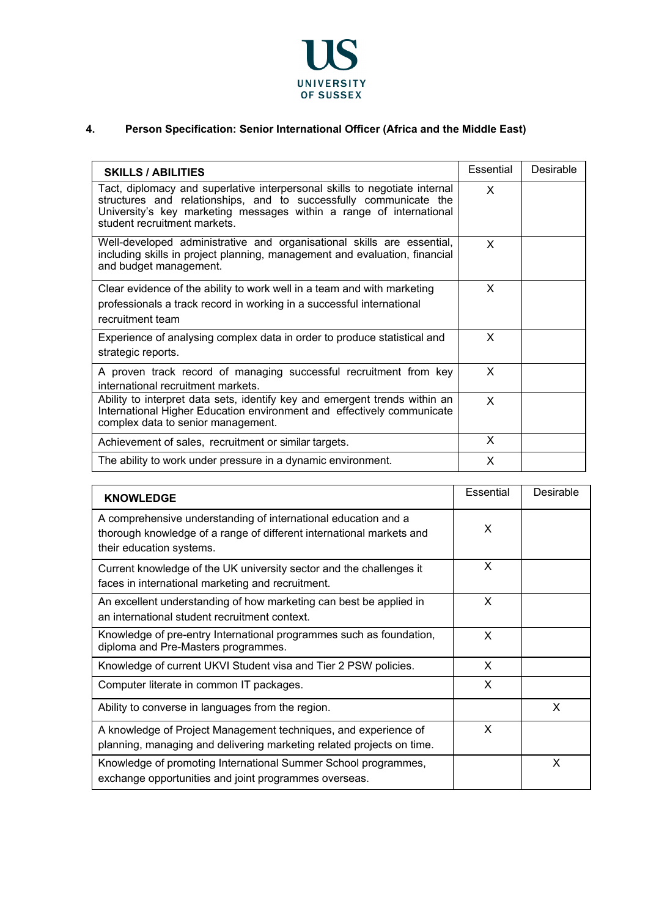

# **4. Person Specification: Senior International Officer (Africa and the Middle East)**

| <b>SKILLS / ABILITIES</b>                                                                                                                                                                                                                              | <b>Essential</b> | Desirable |
|--------------------------------------------------------------------------------------------------------------------------------------------------------------------------------------------------------------------------------------------------------|------------------|-----------|
| Tact, diplomacy and superlative interpersonal skills to negotiate internal<br>structures and relationships, and to successfully communicate the<br>University's key marketing messages within a range of international<br>student recruitment markets. | X                |           |
| Well-developed administrative and organisational skills are essential,<br>including skills in project planning, management and evaluation, financial<br>and budget management.                                                                         | X                |           |
| Clear evidence of the ability to work well in a team and with marketing<br>professionals a track record in working in a successful international<br>recruitment team                                                                                   | X                |           |
| Experience of analysing complex data in order to produce statistical and<br>strategic reports.                                                                                                                                                         | X                |           |
| A proven track record of managing successful recruitment from key<br>international recruitment markets.                                                                                                                                                | X                |           |
| Ability to interpret data sets, identify key and emergent trends within an<br>International Higher Education environment and effectively communicate<br>complex data to senior management.                                                             | X                |           |
| Achievement of sales, recruitment or similar targets.                                                                                                                                                                                                  | X                |           |
| The ability to work under pressure in a dynamic environment.                                                                                                                                                                                           | X                |           |

| <b>KNOWLEDGE</b>                                                                                                                                                   | Essential | Desirable |
|--------------------------------------------------------------------------------------------------------------------------------------------------------------------|-----------|-----------|
| A comprehensive understanding of international education and a<br>thorough knowledge of a range of different international markets and<br>their education systems. | X         |           |
| Current knowledge of the UK university sector and the challenges it<br>faces in international marketing and recruitment.                                           | X         |           |
| An excellent understanding of how marketing can best be applied in<br>an international student recruitment context.                                                | X         |           |
| Knowledge of pre-entry International programmes such as foundation,<br>diploma and Pre-Masters programmes.                                                         | X         |           |
| Knowledge of current UKVI Student visa and Tier 2 PSW policies.                                                                                                    | X         |           |
| Computer literate in common IT packages.                                                                                                                           | X         |           |
| Ability to converse in languages from the region.                                                                                                                  |           | X         |
| A knowledge of Project Management techniques, and experience of<br>planning, managing and delivering marketing related projects on time.                           | X         |           |
| Knowledge of promoting International Summer School programmes,<br>exchange opportunities and joint programmes overseas.                                            |           | X         |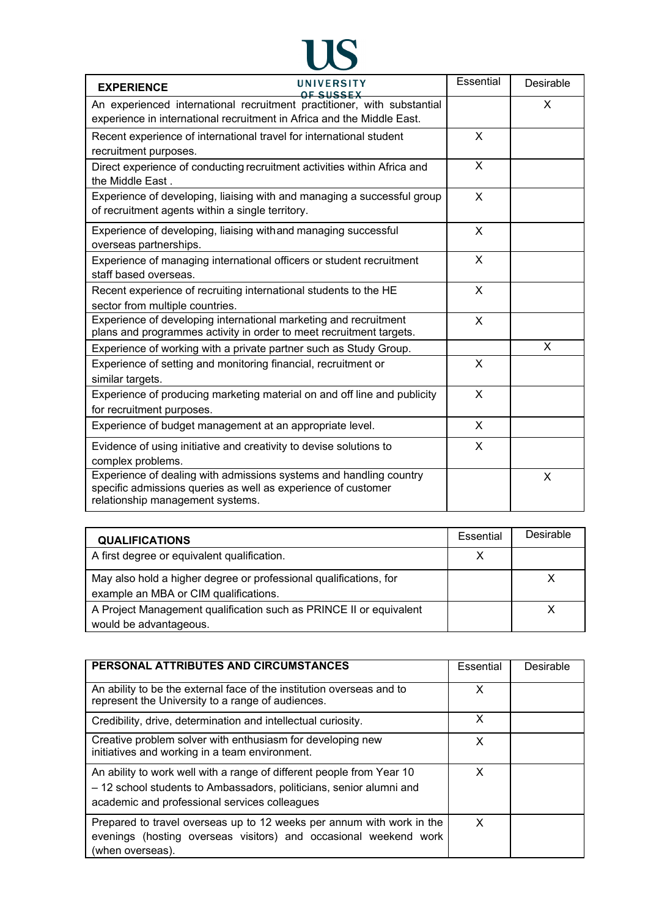

| UNIVERSITY<br><b>EXPERIENCE</b><br><u>NE SIISSEX</u>                                                                                                                    | Essential    | Desirable |
|-------------------------------------------------------------------------------------------------------------------------------------------------------------------------|--------------|-----------|
| An experienced international recruitment practitioner, with substantial<br>experience in international recruitment in Africa and the Middle East.                       |              | X         |
| Recent experience of international travel for international student<br>recruitment purposes.                                                                            | X            |           |
| Direct experience of conducting recruitment activities within Africa and<br>the Middle East.                                                                            | X            |           |
| Experience of developing, liaising with and managing a successful group<br>of recruitment agents within a single territory.                                             | X            |           |
| Experience of developing, liaising with and managing successful<br>overseas partnerships.                                                                               | X            |           |
| Experience of managing international officers or student recruitment<br>staff based overseas.                                                                           | X            |           |
| Recent experience of recruiting international students to the HE<br>sector from multiple countries.                                                                     | X            |           |
| Experience of developing international marketing and recruitment<br>plans and programmes activity in order to meet recruitment targets.                                 | X            |           |
| Experience of working with a private partner such as Study Group.                                                                                                       |              | X         |
| Experience of setting and monitoring financial, recruitment or<br>similar targets.                                                                                      | X            |           |
| Experience of producing marketing material on and off line and publicity<br>for recruitment purposes.                                                                   | $\mathsf{x}$ |           |
| Experience of budget management at an appropriate level.                                                                                                                | X            |           |
| Evidence of using initiative and creativity to devise solutions to<br>complex problems.                                                                                 | X            |           |
| Experience of dealing with admissions systems and handling country<br>specific admissions queries as well as experience of customer<br>relationship management systems. |              | X         |

| <b>QUALIFICATIONS</b>                                                                                      | Essential | Desirable |
|------------------------------------------------------------------------------------------------------------|-----------|-----------|
| A first degree or equivalent qualification.                                                                |           |           |
| May also hold a higher degree or professional qualifications, for<br>example an MBA or CIM qualifications. |           |           |
| A Project Management qualification such as PRINCE II or equivalent<br>would be advantageous.               |           |           |

| PERSONAL ATTRIBUTES AND CIRCUMSTANCES                                                                                                                                                         |   | Desirable |
|-----------------------------------------------------------------------------------------------------------------------------------------------------------------------------------------------|---|-----------|
| An ability to be the external face of the institution overseas and to<br>represent the University to a range of audiences.                                                                    | X |           |
| Credibility, drive, determination and intellectual curiosity.                                                                                                                                 | X |           |
| Creative problem solver with enthusiasm for developing new<br>initiatives and working in a team environment.                                                                                  | X |           |
| An ability to work well with a range of different people from Year 10<br>- 12 school students to Ambassadors, politicians, senior alumni and<br>academic and professional services colleagues | X |           |
| Prepared to travel overseas up to 12 weeks per annum with work in the<br>evenings (hosting overseas visitors) and occasional weekend work<br>(when overseas).                                 | X |           |